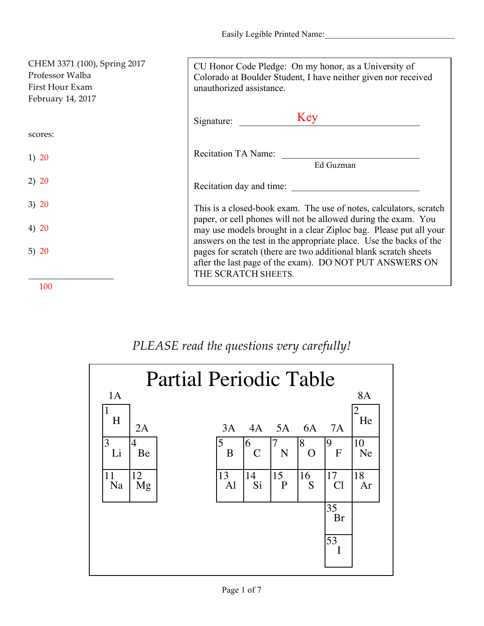Easily Legible Printed Name:

| CHEM 3371 (100), Spring 2017<br>Professor Walba<br>First Hour Exam<br>February 14, 2017 | CU Honor Code Pledge: On my honor, as a University of<br>Colorado at Boulder Student, I have neither given nor received<br>unauthorized assistance.                                                                      |
|-----------------------------------------------------------------------------------------|--------------------------------------------------------------------------------------------------------------------------------------------------------------------------------------------------------------------------|
|                                                                                         | Key<br>Signature:                                                                                                                                                                                                        |
| scores:                                                                                 |                                                                                                                                                                                                                          |
| 1) 20                                                                                   | <b>Recitation TA Name:</b><br>Ed Guzman                                                                                                                                                                                  |
| 2) 20                                                                                   | Recitation day and time:                                                                                                                                                                                                 |
| 3) 20                                                                                   | This is a closed-book exam. The use of notes, calculators, scratch                                                                                                                                                       |
| 4) 20                                                                                   | paper, or cell phones will not be allowed during the exam. You<br>may use models brought in a clear Ziploc bag. Please put all your                                                                                      |
| 5) $20$                                                                                 | answers on the test in the appropriate place. Use the backs of the<br>pages for scratch (there are two additional blank scratch sheets<br>after the last page of the exam). DO NOT PUT ANSWERS ON<br>THE SCRATCH SHEETS. |
| 100                                                                                     |                                                                                                                                                                                                                          |

## *PLEASE read the questions very carefully!*

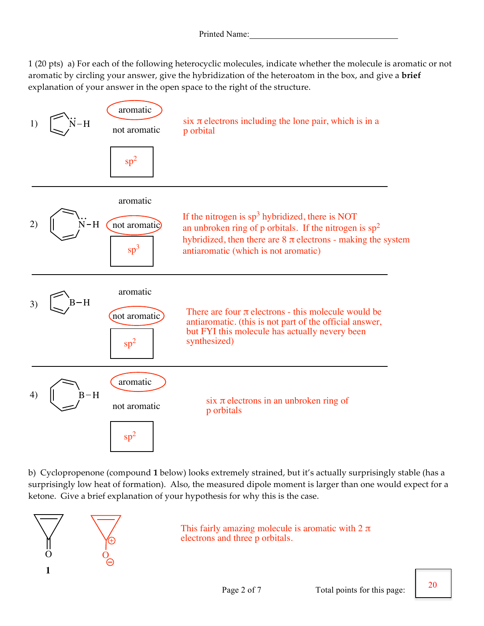1 (20 pts) a) For each of the following heterocyclic molecules, indicate whether the molecule is aromatic or not aromatic by circling your answer, give the hybridization of the heteroatom in the box, and give a **brief** explanation of your answer in the open space to the right of the structure.



b) Cyclopropenone (compound **1** below) looks extremely strained, but it's actually surprisingly stable (has a surprisingly low heat of formation). Also, the measured dipole moment is larger than one would expect for a ketone. Give a brief explanation of your hypothesis for why this is the case.



This fairly amazing molecule is aromatic with  $2 \pi$ electrons and three p orbitals.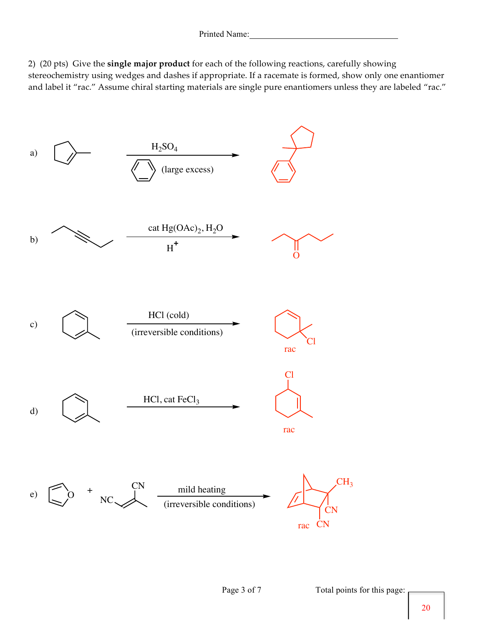2) (20 pts) Give the **single major product** for each of the following reactions, carefully showing stereochemistry using wedges and dashes if appropriate. If a racemate is formed, show only one enantiomer and label it "rac." Assume chiral starting materials are single pure enantiomers unless they are labeled "rac."

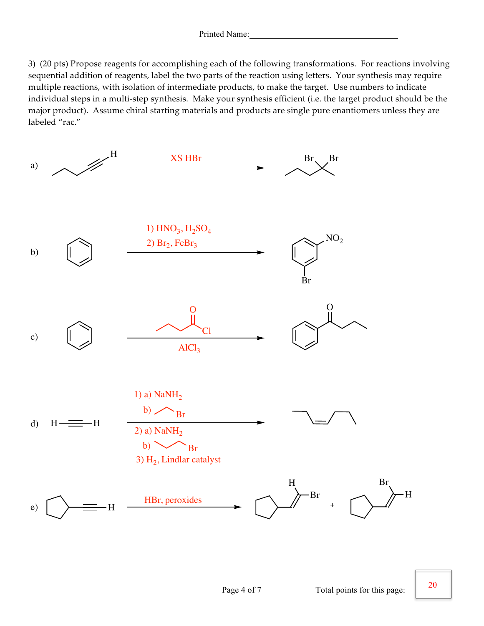3) (20 pts) Propose reagents for accomplishing each of the following transformations. For reactions involving sequential addition of reagents, label the two parts of the reaction using letters. Your synthesis may require multiple reactions, with isolation of intermediate products, to make the target. Use numbers to indicate individual steps in a multi-step synthesis. Make your synthesis efficient (i.e. the target product should be the major product). Assume chiral starting materials and products are single pure enantiomers unless they are labeled "rac."



20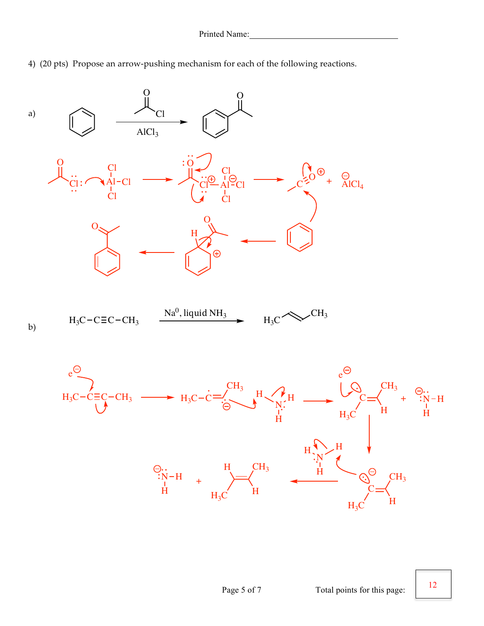4) (20 pts) Propose an arrow-pushing mechanism for each of the following reactions.



12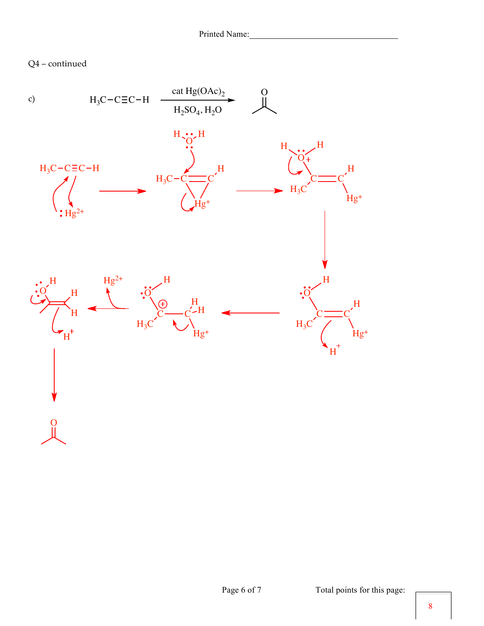Q4 – continued